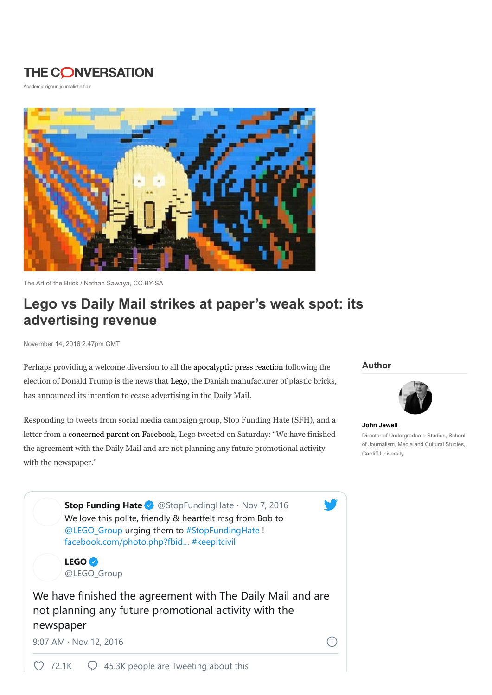## **THE CONVERSATION**

Academic rigour, journalistic flair



The Art of the Brick / Nathan Sawaya, CC BY-SA

# Lego vs Daily Mail strikes at paper's weak spot: its advertising revenue

November 14, 2016 2.47pm GMT

Perhaps providing a welcome diversion to all the apocalyptic press reaction following the election of Donald Trump is the news that Lego, the Danish manufacturer of plastic bricks, has announced its intention to cease advertising in the Daily Mail.

Responding to tweets from social media campaign group, Stop Funding Hate (SFH), and a letter from a concerned parent on Facebook, Lego tweeted on Saturday: "We have finished the agreement with the Daily Mail and are not planning any future promotional activity with the newspaper."

#### Author



John Jewell Director of Undergraduate Studies, School of Journalism, Media and Cultural Studies, Cardiff University

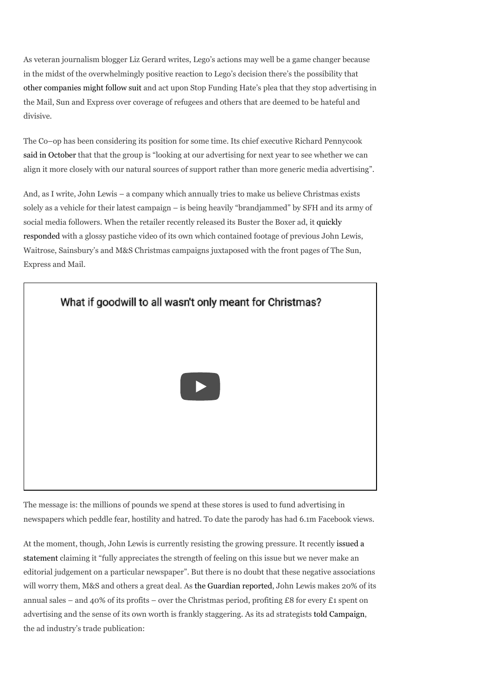As veteran journalism blogger Liz Gerard writes, Lego's actions may well be a game changer because in the midst of the overwhelmingly positive reaction to Lego's decision there's the possibility that other companies might follow suit and act upon Stop Funding Hate's plea that they stop advertising in the Mail, Sun and Express over coverage of refugees and others that are deemed to be hateful and divisive.

The Co–op has been considering its position for some time. Its chief executive Richard Pennycook said in October that that the group is "looking at our advertising for next year to see whether we can align it more closely with our natural sources of support rather than more generic media advertising".

And, as I write, John Lewis – a company which annually tries to make us believe Christmas exists solely as a vehicle for their latest campaign – is being heavily "brandjammed" by SFH and its army of social media followers. When the retailer recently released its Buster the Boxer ad, it quickly responded with a glossy pastiche video of its own which contained footage of previous John Lewis, Waitrose, Sainsbury's and M&S Christmas campaigns juxtaposed with the front pages of The Sun, Express and Mail.



The message is: the millions of pounds we spend at these stores is used to fund advertising in newspapers which peddle fear, hostility and hatred. To date the parody has had 6.1m Facebook views.

At the moment, though, John Lewis is currently resisting the growing pressure. It recently issued a statement claiming it "fully appreciates the strength of feeling on this issue but we never make an editorial judgement on a particular newspaper". But there is no doubt that these negative associations will worry them, M&S and others a great deal. As the Guardian reported, John Lewis makes 20% of its annual sales – and 40% of its profits – over the Christmas period, profiting £8 for every £1 spent on advertising and the sense of its own worth is frankly staggering. As its ad strategists told Campaign, the ad industry's trade publication: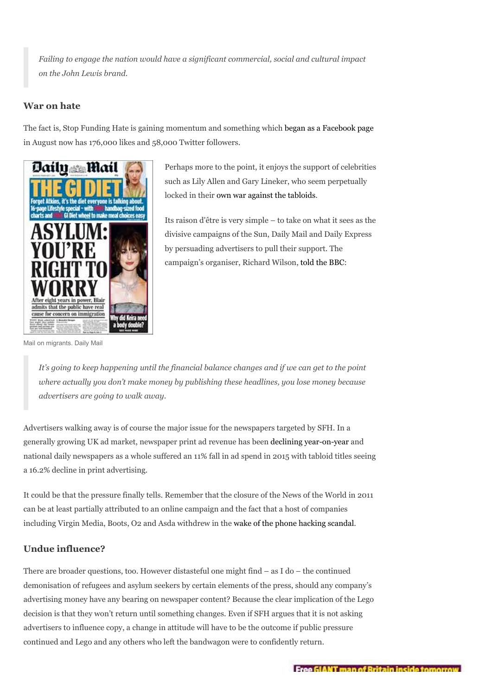Failing to engage the nation would have a significant commercial, social and cultural impact on the John Lewis brand.

### War on hate

The fact is, Stop Funding Hate is gaining momentum and something which began as a Facebook page in August now has 176,000 likes and 58,000 Twitter followers.



Perhaps more to the point, it enjoys the support of celebrities such as Lily Allen and Gary Lineker, who seem perpetually locked in their own war against the tabloids.

Its raison d'être is very simple – to take on what it sees as the divisive campaigns of the Sun, Daily Mail and Daily Express by persuading advertisers to pull their support. The campaign's organiser, Richard Wilson, told the BBC:

Mail on migrants. Daily Mail

It's going to keep happening until the financial balance changes and if we can get to the point where actually you don't make money by publishing these headlines, you lose money because advertisers are going to walk away.

Advertisers walking away is of course the major issue for the newspapers targeted by SFH. In a generally growing UK ad market, newspaper print ad revenue has been declining year-on-year and national daily newspapers as a whole suffered an 11% fall in ad spend in 2015 with tabloid titles seeing a 16.2% decline in print advertising.

It could be that the pressure finally tells. Remember that the closure of the News of the World in 2011 can be at least partially attributed to an online campaign and the fact that a host of companies including Virgin Media, Boots, O2 and Asda withdrew in the wake of the phone hacking scandal.

## Undue influence?

There are broader questions, too. However distasteful one might find – as I do – the continued demonisation of refugees and asylum seekers by certain elements of the press, should any company's advertising money have any bearing on newspaper content? Because the clear implication of the Lego decision is that they won't return until something changes. Even if SFH argues that it is not asking advertisers to influence copy, a change in attitude will have to be the outcome if public pressure continued and Lego and any others who left the bandwagon were to confidently return.